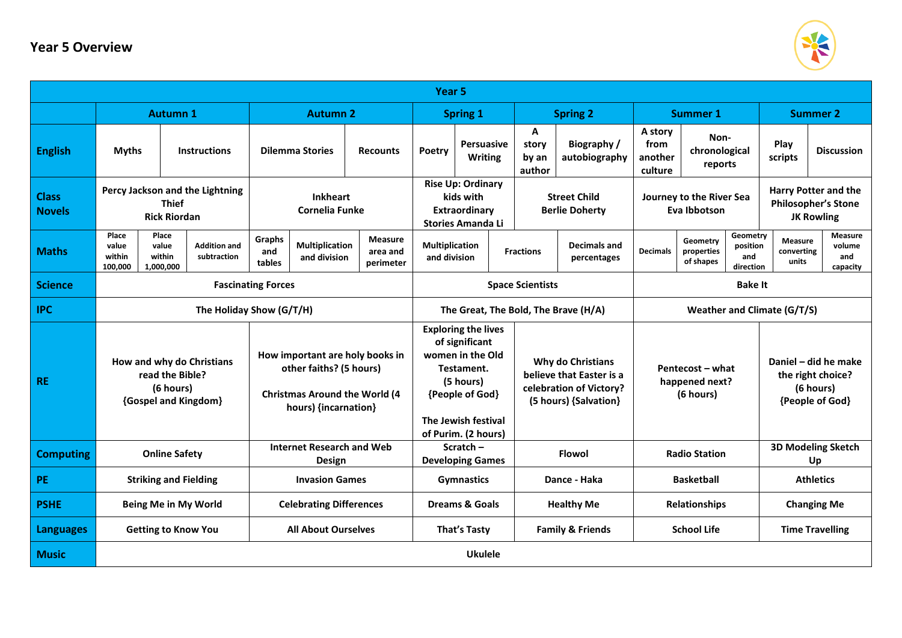## **Year 5 Overview**



| Year 5                        |                                                                                   |                                                                                                                            |                                          |                                       |                                         |                                                                                                                                       |                                                                                                          |                                    |                                              |                                                 |                                          |                                          |                                                                           |                                                                                |  |
|-------------------------------|-----------------------------------------------------------------------------------|----------------------------------------------------------------------------------------------------------------------------|------------------------------------------|---------------------------------------|-----------------------------------------|---------------------------------------------------------------------------------------------------------------------------------------|----------------------------------------------------------------------------------------------------------|------------------------------------|----------------------------------------------|-------------------------------------------------|------------------------------------------|------------------------------------------|---------------------------------------------------------------------------|--------------------------------------------------------------------------------|--|
|                               |                                                                                   | <b>Autumn 1</b>                                                                                                            | <b>Autumn 2</b>                          |                                       |                                         | <b>Spring 1</b>                                                                                                                       |                                                                                                          |                                    | <b>Spring 2</b>                              |                                                 | <b>Summer 1</b>                          |                                          |                                                                           | <b>Summer 2</b>                                                                |  |
| <b>English</b>                | <b>Myths</b>                                                                      | <b>Instructions</b>                                                                                                        | <b>Dilemma Stories</b>                   |                                       | <b>Recounts</b>                         | <b>Persuasive</b><br>Poetry<br><b>Writing</b>                                                                                         |                                                                                                          | A<br>story<br>by an<br>author      | <b>Biography</b> /<br>autobiography          | A story<br>from<br>another<br>culture           | Non-<br>chronological<br>reports         |                                          | Play<br>scripts                                                           | <b>Discussion</b>                                                              |  |
| <b>Class</b><br><b>Novels</b> |                                                                                   | Percy Jackson and the Lightning<br><b>Thief</b><br><b>Rick Riordan</b>                                                     | <b>Inkheart</b><br><b>Cornelia Funke</b> |                                       |                                         | <b>Rise Up: Ordinary</b><br>kids with<br>Extraordinary<br><b>Stories Amanda Li</b>                                                    |                                                                                                          |                                    | <b>Street Child</b><br><b>Berlie Doherty</b> |                                                 | Journey to the River Sea<br>Eva Ibbotson |                                          |                                                                           | <b>Harry Potter and the</b><br><b>Philosopher's Stone</b><br><b>JK Rowling</b> |  |
| <b>Maths</b>                  | Place<br>value<br>within<br>100,000                                               | Place<br><b>Addition and</b><br>value<br>within<br>subtraction<br>1,000,000                                                | Graphs<br>and<br>tables                  | <b>Multiplication</b><br>and division | <b>Measure</b><br>area and<br>perimeter | <b>Multiplication</b><br>and division                                                                                                 |                                                                                                          | <b>Fractions</b>                   | <b>Decimals and</b><br>percentages           | <b>Decimals</b>                                 | Geometry<br>properties<br>of shapes      | Geometry<br>position<br>and<br>direction | Measure<br>converting<br>units                                            | Measure<br>volume<br>and<br>capacity                                           |  |
| <b>Science</b>                | <b>Fascinating Forces</b>                                                         |                                                                                                                            |                                          |                                       |                                         |                                                                                                                                       |                                                                                                          | <b>Space Scientists</b>            |                                              |                                                 | <b>Bake It</b>                           |                                          |                                                                           |                                                                                |  |
| <b>IPC</b>                    | The Holiday Show (G/T/H)                                                          |                                                                                                                            |                                          |                                       |                                         |                                                                                                                                       | The Great, The Bold, The Brave (H/A)                                                                     | <b>Weather and Climate (G/T/S)</b> |                                              |                                                 |                                          |                                          |                                                                           |                                                                                |  |
| <b>RE</b>                     | How and why do Christians<br>read the Bible?<br>(6 hours)<br>{Gospel and Kingdom} | How important are holy books in<br>other faiths? (5 hours)<br><b>Christmas Around the World (4</b><br>hours) {incarnation} |                                          |                                       |                                         | <b>Exploring the lives</b><br>of significant<br>women in the Old<br>Testament.<br>(5 hours)<br>{People of God}<br>The Jewish festival | <b>Why do Christians</b><br>believe that Easter is a<br>celebration of Victory?<br>(5 hours) {Salvation} |                                    |                                              | Pentecost – what<br>happened next?<br>(6 hours) |                                          |                                          | Daniel - did he make<br>the right choice?<br>(6 hours)<br>{People of God} |                                                                                |  |
|                               |                                                                                   |                                                                                                                            | <b>Internet Research and Web</b>         |                                       |                                         | of Purim. (2 hours)<br>Scratch $-$                                                                                                    |                                                                                                          |                                    |                                              |                                                 |                                          |                                          |                                                                           | <b>3D Modeling Sketch</b>                                                      |  |
| <b>Computing</b>              |                                                                                   | <b>Online Safety</b>                                                                                                       | Design                                   |                                       |                                         | <b>Developing Games</b>                                                                                                               |                                                                                                          |                                    | <b>Flowol</b>                                |                                                 | <b>Radio Station</b>                     |                                          | Up                                                                        |                                                                                |  |
| PE                            |                                                                                   | <b>Striking and Fielding</b>                                                                                               | <b>Invasion Games</b>                    |                                       |                                         |                                                                                                                                       | <b>Gymnastics</b>                                                                                        |                                    | Dance - Haka                                 |                                                 | <b>Basketball</b>                        |                                          | <b>Athletics</b>                                                          |                                                                                |  |
| <b>PSHE</b>                   |                                                                                   | Being Me in My World                                                                                                       | <b>Celebrating Differences</b>           |                                       |                                         |                                                                                                                                       | <b>Dreams &amp; Goals</b>                                                                                |                                    | <b>Healthy Me</b>                            |                                                 | <b>Relationships</b>                     |                                          | <b>Changing Me</b>                                                        |                                                                                |  |
| <b>Languages</b>              | <b>Getting to Know You</b>                                                        |                                                                                                                            | <b>All About Ourselves</b>               |                                       |                                         |                                                                                                                                       | <b>That's Tasty</b><br><b>Family &amp; Friends</b>                                                       |                                    |                                              | <b>School Life</b>                              |                                          |                                          | <b>Time Travelling</b>                                                    |                                                                                |  |
| <b>Music</b>                  | <b>Ukulele</b>                                                                    |                                                                                                                            |                                          |                                       |                                         |                                                                                                                                       |                                                                                                          |                                    |                                              |                                                 |                                          |                                          |                                                                           |                                                                                |  |